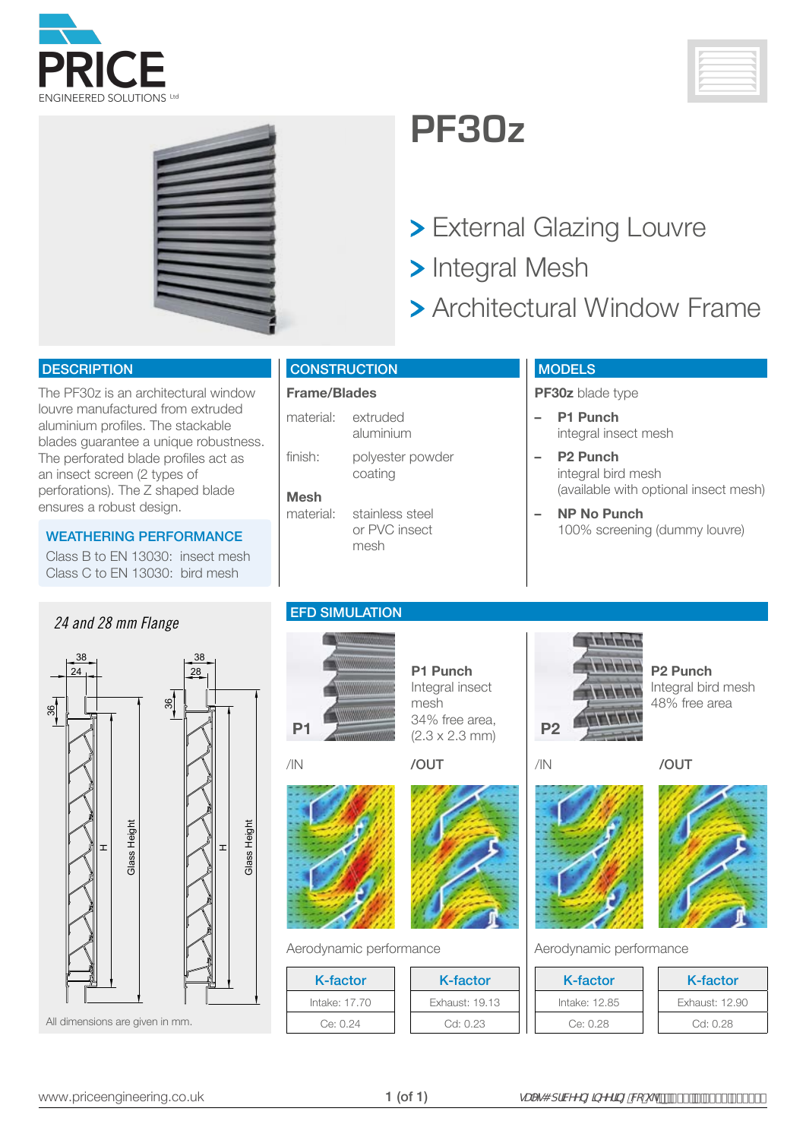



## **PF30z**

- > External Glazing Louvre
- > Integral Mesh
- **> Architectural Window Frame**

#### **DESCRIPTION**

The PF30z is an architectural window louvre manufactured from extruded aluminium profiles. The stackable blades guarantee a unique robustness. The perforated blade profiles act as an insect screen (2 types of perforations). The Z shaped blade ensures a robust design.

Class B to EN 13030: insect mesh Class C to EN 13030: bird mesh

## EFD SIMULATION *24 and 28 mm Flange*



### **CONSTRUCTION**

### **Frame/Blades**

material: extruded aluminium

finish: polyester powder coating

### **Mesh**

material: stainless steel or PVC insect mesh

### **MODELS**

**PF30z** blade type

- **– P1 Punch** integral insect mesh
- **– P2 Punch** integral bird mesh (available with optional insect mesh)
- **– NP No Punch** 100% screening (dummy louvre) WEATHERING PERFORMANCE

**P2 Punch**

Integral bird mesh 48% free area



**P1 Punch** Integral insect mesh 34% free area,  $(2.3 \times 2.3 \text{ mm})$  **P2** 





Aerodynamic performance Aerodynamic performance

| K-factor      |
|---------------|
| Intake: 17.70 |
| Ce: 0.24      |



K-factor Exhaust: 19.13 Cd: 0.23





/IN /OUT

**NUMBER The Second Second Second** a a a a

| K-factor      | K-factor       |
|---------------|----------------|
| Intake: 12.85 | Exhaust: 12.90 |
| Ce: 0.28      | Cd: 0.28       |